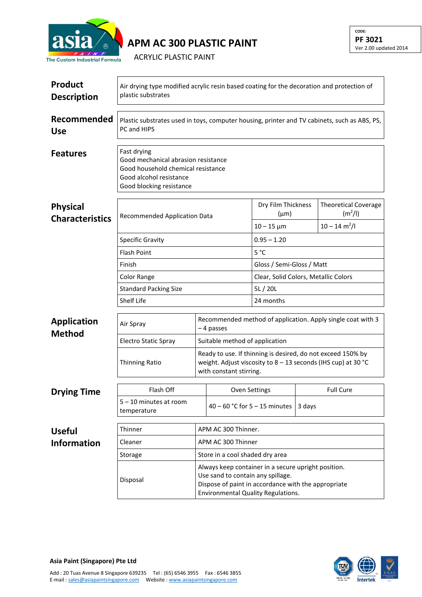

**APM AC 300 PLASTIC PAINT**

**CODE: PF 3021** Ver 2.00 updated 2014

ACRYLIC PLASTIC PAINT

| <b>Product</b><br><b>Description</b> | Air drying type modified acrylic resin based coating for the decoration and protection of<br>plastic substrates                                 |                                                                                                                                                                                              |                                                                                                                                                         |                                      |  |                                                    |  |
|--------------------------------------|-------------------------------------------------------------------------------------------------------------------------------------------------|----------------------------------------------------------------------------------------------------------------------------------------------------------------------------------------------|---------------------------------------------------------------------------------------------------------------------------------------------------------|--------------------------------------|--|----------------------------------------------------|--|
| Recommended<br><b>Use</b>            | Plastic substrates used in toys, computer housing, printer and TV cabinets, such as ABS, PS,<br>PC and HIPS                                     |                                                                                                                                                                                              |                                                                                                                                                         |                                      |  |                                                    |  |
| <b>Features</b>                      | Fast drying<br>Good mechanical abrasion resistance<br>Good household chemical resistance<br>Good alcohol resistance<br>Good blocking resistance |                                                                                                                                                                                              |                                                                                                                                                         |                                      |  |                                                    |  |
| <b>Physical</b>                      | <b>Recommended Application Data</b><br><b>Specific Gravity</b>                                                                                  |                                                                                                                                                                                              |                                                                                                                                                         | Dry Film Thickness<br>$(\mu m)$      |  | <b>Theoretical Coverage</b><br>(m <sup>2</sup> /I) |  |
| <b>Characteristics</b>               |                                                                                                                                                 |                                                                                                                                                                                              |                                                                                                                                                         | $10 - 15 \mu m$                      |  | $10 - 14$ m <sup>2</sup> /l                        |  |
|                                      |                                                                                                                                                 |                                                                                                                                                                                              |                                                                                                                                                         | $0.95 - 1.20$                        |  |                                                    |  |
|                                      | <b>Flash Point</b>                                                                                                                              |                                                                                                                                                                                              |                                                                                                                                                         | $5^{\circ}$ C                        |  |                                                    |  |
|                                      | Finish<br>Color Range<br><b>Standard Packing Size</b><br>Shelf Life                                                                             |                                                                                                                                                                                              |                                                                                                                                                         | Gloss / Semi-Gloss / Matt            |  |                                                    |  |
|                                      |                                                                                                                                                 |                                                                                                                                                                                              |                                                                                                                                                         | Clear, Solid Colors, Metallic Colors |  |                                                    |  |
|                                      |                                                                                                                                                 |                                                                                                                                                                                              |                                                                                                                                                         | 5L/20L                               |  |                                                    |  |
|                                      |                                                                                                                                                 |                                                                                                                                                                                              |                                                                                                                                                         | 24 months                            |  |                                                    |  |
| <b>Application</b><br><b>Method</b>  | Air Spray                                                                                                                                       | Recommended method of application. Apply single coat with 3<br>-4 passes                                                                                                                     |                                                                                                                                                         |                                      |  |                                                    |  |
|                                      | <b>Electro Static Spray</b>                                                                                                                     | Suitable method of application                                                                                                                                                               |                                                                                                                                                         |                                      |  |                                                    |  |
|                                      | <b>Thinning Ratio</b>                                                                                                                           |                                                                                                                                                                                              | Ready to use. If thinning is desired, do not exceed 150% by<br>weight. Adjust viscosity to 8 - 13 seconds (IHS cup) at 30 °C<br>with constant stirring. |                                      |  |                                                    |  |
| <b>Drying Time</b>                   | Flash Off                                                                                                                                       | <b>Oven Settings</b>                                                                                                                                                                         |                                                                                                                                                         |                                      |  | <b>Full Cure</b>                                   |  |
|                                      | 5-10 minutes at room<br>temperature                                                                                                             |                                                                                                                                                                                              | 40 – 60 °C for 5 – 15 minutes<br>3 days                                                                                                                 |                                      |  |                                                    |  |
| <b>Useful</b>                        | Thinner                                                                                                                                         | APM AC 300 Thinner.                                                                                                                                                                          |                                                                                                                                                         |                                      |  |                                                    |  |
| <b>Information</b>                   | Cleaner                                                                                                                                         | APM AC 300 Thinner                                                                                                                                                                           |                                                                                                                                                         |                                      |  |                                                    |  |
|                                      | Storage                                                                                                                                         | Store in a cool shaded dry area                                                                                                                                                              |                                                                                                                                                         |                                      |  |                                                    |  |
|                                      | Disposal                                                                                                                                        | Always keep container in a secure upright position.<br>Use sand to contain any spillage.<br>Dispose of paint in accordance with the appropriate<br><b>Environmental Quality Regulations.</b> |                                                                                                                                                         |                                      |  |                                                    |  |